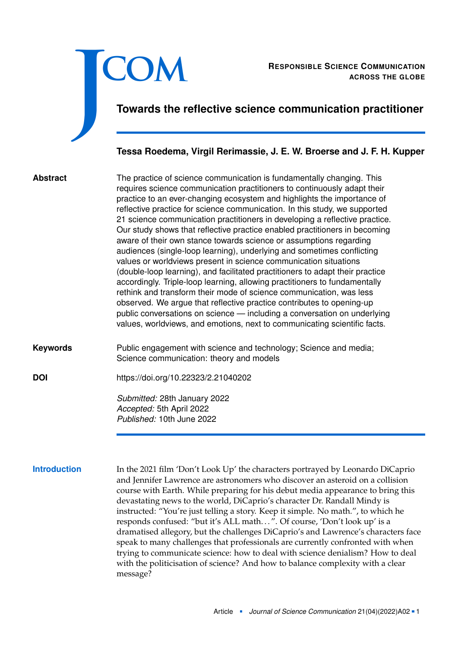

**Introduction** In the 2021 film 'Don't Look Up' the characters portrayed by Leonardo DiCaprio and Jennifer Lawrence are astronomers who discover an asteroid on a collision course with Earth. While preparing for his debut media appearance to bring this devastating news to the world, DiCaprio's character Dr. Randall Mindy is instructed: "You're just telling a story. Keep it simple. No math.", to which he responds confused: "but it's ALL math. . . ". Of course, 'Don't look up' is a dramatised allegory, but the challenges DiCaprio's and Lawrence's characters face speak to many challenges that professionals are currently confronted with when trying to communicate science: how to deal with science denialism? How to deal with the politicisation of science? And how to balance complexity with a clear message?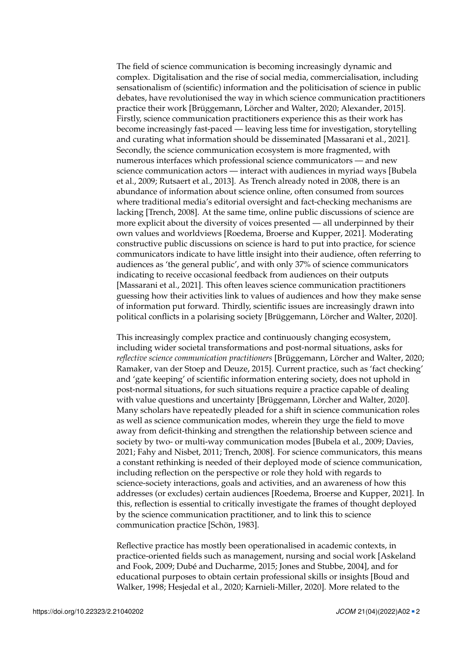The field of science communication is becoming increasingly dynamic and complex. Digitalisation and the rise of social media, commercialisation, including sensationalism of (scientific) information and the politicisation of science in public debates, have revolutionised the way in which science communication practitioners practice their work [Brüggemann, Lörcher and Walter, [2020;](#page-16-0) Alexander, [2015\]](#page-16-1). Firstly, science communication practitioners experience this as their work has become increasingly fast-paced — leaving less time for investigation, storytelling and curating what information should be disseminated [Massarani et al., [2021\]](#page-17-0). Secondly, the science communication ecosystem is more fragmented, with numerous interfaces which professional science communicators — and new science communication actors — interact with audiences in myriad ways [Bubela et al., [2009;](#page-16-2) Rutsaert et al., [2013\]](#page-18-0). As Trench already noted in 2008, there is an abundance of information about science online, often consumed from sources where traditional media's editorial oversight and fact-checking mechanisms are lacking [Trench, [2008\]](#page-18-1). At the same time, online public discussions of science are more explicit about the diversity of voices presented — all underpinned by their own values and worldviews [Roedema, Broerse and Kupper, [2021\]](#page-18-2). Moderating constructive public discussions on science is hard to put into practice, for science communicators indicate to have little insight into their audience, often referring to audiences as 'the general public', and with only 37% of science communicators indicating to receive occasional feedback from audiences on their outputs [Massarani et al., [2021\]](#page-17-0). This often leaves science communication practitioners guessing how their activities link to values of audiences and how they make sense of information put forward. Thirdly, scientific issues are increasingly drawn into political conflicts in a polarising society [Brüggemann, Lörcher and Walter, [2020\]](#page-16-0).

This increasingly complex practice and continuously changing ecosystem, including wider societal transformations and post-normal situations, asks for *reflective science communication practitioners* [Brüggemann, Lörcher and Walter, [2020;](#page-16-0) Ramaker, van der Stoep and Deuze, [2015\]](#page-18-3). Current practice, such as 'fact checking' and 'gate keeping' of scientific information entering society, does not uphold in post-normal situations, for such situations require a practice capable of dealing with value questions and uncertainty [Brüggemann, Lörcher and Walter, [2020\]](#page-16-0). Many scholars have repeatedly pleaded for a shift in science communication roles as well as science communication modes, wherein they urge the field to move away from deficit-thinking and strengthen the relationship between science and society by two- or multi-way communication modes [Bubela et al., [2009;](#page-16-2) Davies, [2021;](#page-17-1) Fahy and Nisbet, [2011;](#page-17-2) Trench, [2008\]](#page-18-1). For science communicators, this means a constant rethinking is needed of their deployed mode of science communication, including reflection on the perspective or role they hold with regards to science-society interactions, goals and activities, and an awareness of how this addresses (or excludes) certain audiences [Roedema, Broerse and Kupper, [2021\]](#page-18-2). In this, reflection is essential to critically investigate the frames of thought deployed by the science communication practitioner, and to link this to science communication practice [Schön, [1983\]](#page-18-4).

Reflective practice has mostly been operationalised in academic contexts, in practice-oriented fields such as management, nursing and social work [Askeland and Fook, [2009;](#page-16-3) Dubé and Ducharme, [2015;](#page-17-3) Jones and Stubbe, [2004\]](#page-17-4), and for educational purposes to obtain certain professional skills or insights [Boud and Walker, [1998;](#page-16-4) Hesjedal et al., [2020;](#page-17-5) Karnieli-Miller, [2020\]](#page-17-6). More related to the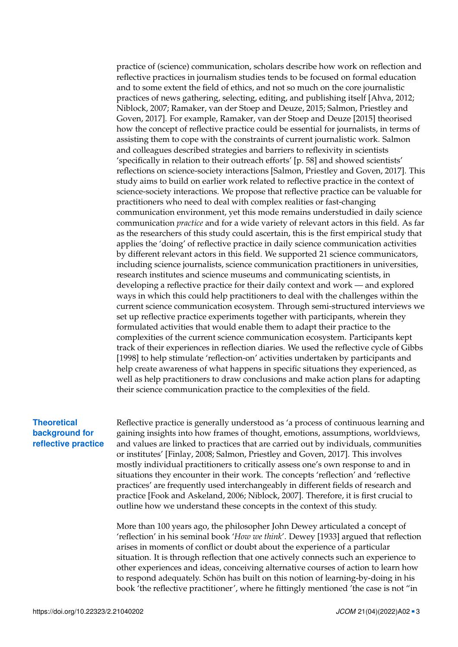practice of (science) communication, scholars describe how work on reflection and reflective practices in journalism studies tends to be focused on formal education and to some extent the field of ethics, and not so much on the core journalistic practices of news gathering, selecting, editing, and publishing itself [Ahva, [2012;](#page-16-5) Niblock, [2007;](#page-18-5) Ramaker, van der Stoep and Deuze, [2015;](#page-18-3) Salmon, Priestley and Goven, [2017\]](#page-18-6). For example, Ramaker, van der Stoep and Deuze [\[2015\]](#page-18-3) theorised how the concept of reflective practice could be essential for journalists, in terms of assisting them to cope with the constraints of current journalistic work. Salmon and colleagues described strategies and barriers to reflexivity in scientists 'specifically in relation to their outreach efforts' [p. 58] and showed scientists' reflections on science-society interactions [Salmon, Priestley and Goven, [2017\]](#page-18-6). This study aims to build on earlier work related to reflective practice in the context of science-society interactions. We propose that reflective practice can be valuable for practitioners who need to deal with complex realities or fast-changing communication environment, yet this mode remains understudied in daily science communication *practice* and for a wide variety of relevant actors in this field. As far as the researchers of this study could ascertain, this is the first empirical study that applies the 'doing' of reflective practice in daily science communication activities by different relevant actors in this field. We supported 21 science communicators, including science journalists, science communication practitioners in universities, research institutes and science museums and communicating scientists, in developing a reflective practice for their daily context and work — and explored ways in which this could help practitioners to deal with the challenges within the current science communication ecosystem. Through semi-structured interviews we set up reflective practice experiments together with participants, wherein they formulated activities that would enable them to adapt their practice to the complexities of the current science communication ecosystem. Participants kept track of their experiences in reflection diaries. We used the reflective cycle of Gibbs [\[1998\]](#page-17-7) to help stimulate 'reflection-on' activities undertaken by participants and help create awareness of what happens in specific situations they experienced, as well as help practitioners to draw conclusions and make action plans for adapting their science communication practice to the complexities of the field.

# **Theoretical background for reflective practice**

Reflective practice is generally understood as 'a process of continuous learning and gaining insights into how frames of thought, emotions, assumptions, worldviews, and values are linked to practices that are carried out by individuals, communities or institutes' [Finlay, [2008;](#page-17-8) Salmon, Priestley and Goven, [2017\]](#page-18-6). This involves mostly individual practitioners to critically assess one's own response to and in situations they encounter in their work. The concepts 'reflection' and 'reflective practices' are frequently used interchangeably in different fields of research and practice [Fook and Askeland, [2006;](#page-17-9) Niblock, [2007\]](#page-18-5). Therefore, it is first crucial to outline how we understand these concepts in the context of this study.

More than 100 years ago, the philosopher John Dewey articulated a concept of 'reflection' in his seminal book '*How we think*'. Dewey [\[1933\]](#page-17-10) argued that reflection arises in moments of conflict or doubt about the experience of a particular situation. It is through reflection that one actively connects such an experience to other experiences and ideas, conceiving alternative courses of action to learn how to respond adequately. Schön has built on this notion of learning-by-doing in his book 'the reflective practitioner', where he fittingly mentioned 'the case is not "in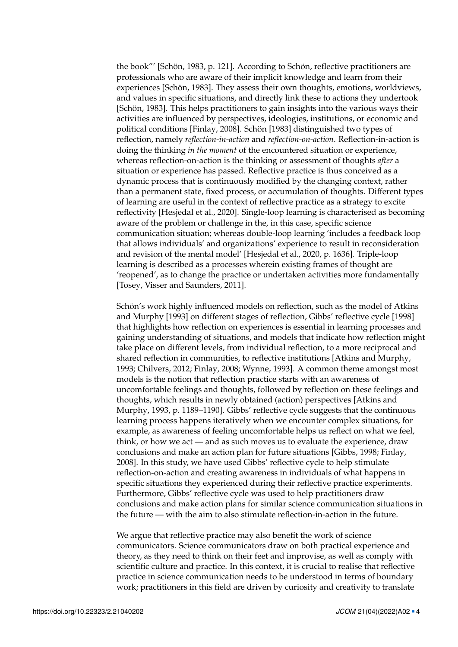the book"' [Schön, [1983,](#page-18-4) p. 121]. According to Schön, reflective practitioners are professionals who are aware of their implicit knowledge and learn from their experiences [Schön, [1983\]](#page-18-4). They assess their own thoughts, emotions, worldviews, and values in specific situations, and directly link these to actions they undertook [Schön, [1983\]](#page-18-4). This helps practitioners to gain insights into the various ways their activities are influenced by perspectives, ideologies, institutions, or economic and political conditions [Finlay, [2008\]](#page-17-8). Schön [\[1983\]](#page-18-4) distinguished two types of reflection, namely *reflection-in-action* and *reflection-on-action*. Reflection-in-action is doing the thinking *in the moment* of the encountered situation or experience, whereas reflection-on-action is the thinking or assessment of thoughts *after* a situation or experience has passed. Reflective practice is thus conceived as a dynamic process that is continuously modified by the changing context, rather than a permanent state, fixed process, or accumulation of thoughts. Different types of learning are useful in the context of reflective practice as a strategy to excite reflectivity [Hesjedal et al., [2020\]](#page-17-5). Single-loop learning is characterised as becoming aware of the problem or challenge in the, in this case, specific science communication situation; whereas double-loop learning 'includes a feedback loop that allows individuals' and organizations' experience to result in reconsideration and revision of the mental model' [Hesjedal et al., [2020,](#page-17-5) p. 1636]. Triple-loop learning is described as a processes wherein existing frames of thought are 'reopened', as to change the practice or undertaken activities more fundamentally [Tosey, Visser and Saunders, [2011\]](#page-18-7).

Schön's work highly influenced models on reflection, such as the model of Atkins and Murphy [\[1993\]](#page-16-6) on different stages of reflection, Gibbs' reflective cycle [\[1998\]](#page-17-7) that highlights how reflection on experiences is essential in learning processes and gaining understanding of situations, and models that indicate how reflection might take place on different levels, from individual reflection, to a more reciprocal and shared reflection in communities, to reflective institutions [Atkins and Murphy, [1993;](#page-16-6) Chilvers, [2012;](#page-17-11) Finlay, [2008;](#page-17-8) Wynne, [1993\]](#page-18-8). A common theme amongst most models is the notion that reflection practice starts with an awareness of uncomfortable feelings and thoughts, followed by reflection on these feelings and thoughts, which results in newly obtained (action) perspectives [Atkins and Murphy, [1993,](#page-16-6) p. 1189–1190]. Gibbs' reflective cycle suggests that the continuous learning process happens iteratively when we encounter complex situations, for example, as awareness of feeling uncomfortable helps us reflect on what we feel, think, or how we act — and as such moves us to evaluate the experience, draw conclusions and make an action plan for future situations [Gibbs, [1998;](#page-17-7) Finlay, [2008\]](#page-17-8). In this study, we have used Gibbs' reflective cycle to help stimulate reflection-on-action and creating awareness in individuals of what happens in specific situations they experienced during their reflective practice experiments. Furthermore, Gibbs' reflective cycle was used to help practitioners draw conclusions and make action plans for similar science communication situations in the future — with the aim to also stimulate reflection-in-action in the future.

We argue that reflective practice may also benefit the work of science communicators. Science communicators draw on both practical experience and theory, as they need to think on their feet and improvise, as well as comply with scientific culture and practice. In this context, it is crucial to realise that reflective practice in science communication needs to be understood in terms of boundary work; practitioners in this field are driven by curiosity and creativity to translate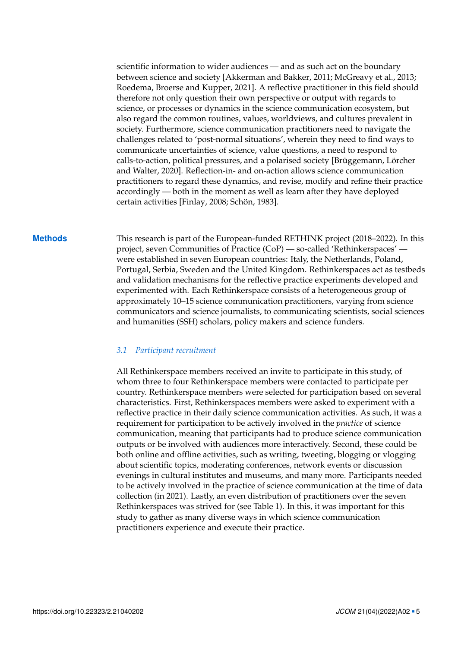scientific information to wider audiences — and as such act on the boundary between science and society [Akkerman and Bakker, [2011;](#page-16-7) McGreavy et al., [2013;](#page-18-9) Roedema, Broerse and Kupper, [2021\]](#page-18-2). A reflective practitioner in this field should therefore not only question their own perspective or output with regards to science, or processes or dynamics in the science communication ecosystem, but also regard the common routines, values, worldviews, and cultures prevalent in society. Furthermore, science communication practitioners need to navigate the challenges related to 'post-normal situations', wherein they need to find ways to communicate uncertainties of science, value questions, a need to respond to calls-to-action, political pressures, and a polarised society [Brüggemann, Lörcher and Walter, [2020\]](#page-16-0). Reflection-in- and on-action allows science communication practitioners to regard these dynamics, and revise, modify and refine their practice accordingly — both in the moment as well as learn after they have deployed certain activities [Finlay, [2008;](#page-17-8) Schön, [1983\]](#page-18-4).

**Methods** This research is part of the European-funded RETHINK project (2018–2022). In this project, seven Communities of Practice (CoP) — so-called 'Rethinkerspaces' were established in seven European countries: Italy, the Netherlands, Poland, Portugal, Serbia, Sweden and the United Kingdom. Rethinkerspaces act as testbeds and validation mechanisms for the reflective practice experiments developed and experimented with. Each Rethinkerspace consists of a heterogeneous group of approximately 10–15 science communication practitioners, varying from science communicators and science journalists, to communicating scientists, social sciences and humanities (SSH) scholars, policy makers and science funders.

### *3.1 Participant recruitment*

All Rethinkerspace members received an invite to participate in this study, of whom three to four Rethinkerspace members were contacted to participate per country. Rethinkerspace members were selected for participation based on several characteristics. First, Rethinkerspaces members were asked to experiment with a reflective practice in their daily science communication activities. As such, it was a requirement for participation to be actively involved in the *practice* of science communication, meaning that participants had to produce science communication outputs or be involved with audiences more interactively. Second, these could be both online and offline activities, such as writing, tweeting, blogging or vlogging about scientific topics, moderating conferences, network events or discussion evenings in cultural institutes and museums, and many more. Participants needed to be actively involved in the practice of science communication at the time of data collection (in 2021). Lastly, an even distribution of practitioners over the seven Rethinkerspaces was strived for (see Table [1\)](#page-5-0). In this, it was important for this study to gather as many diverse ways in which science communication practitioners experience and execute their practice.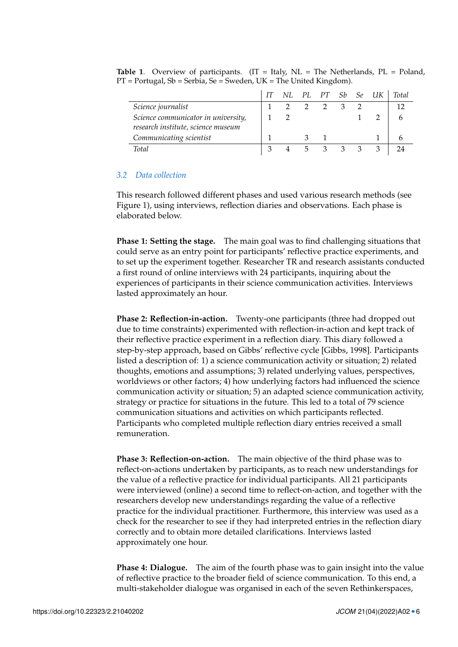<span id="page-5-0"></span>

|                                                                           |  |             |     | NL PL PT Sb Se UK | <b>Total</b> |
|---------------------------------------------------------------------------|--|-------------|-----|-------------------|--------------|
| Science journalist                                                        |  |             | 3   |                   | 12           |
| Science communicator in university,<br>research institute, science museum |  |             |     |                   |              |
| Communicating scientist                                                   |  |             |     |                   |              |
| <b>Total</b>                                                              |  | $5 \quad 3$ | 3 3 |                   |              |

**Table 1**. Overview of participants. (IT = Italy, NL = The Netherlands, PL = Poland,  $PT = Portugal$ ,  $Sb = Serbia$ ,  $Se = Sweden$ ,  $UK = The United Kingdom$ ).

### *3.2 Data collection*

This research followed different phases and used various research methods (see Figure [1\)](#page-6-0), using interviews, reflection diaries and observations. Each phase is elaborated below.

**Phase 1: Setting the stage.** The main goal was to find challenging situations that could serve as an entry point for participants' reflective practice experiments, and to set up the experiment together. Researcher TR and research assistants conducted a first round of online interviews with 24 participants, inquiring about the experiences of participants in their science communication activities. Interviews lasted approximately an hour.

**Phase 2: Reflection-in-action.** Twenty-one participants (three had dropped out due to time constraints) experimented with reflection-in-action and kept track of their reflective practice experiment in a reflection diary. This diary followed a step-by-step approach, based on Gibbs' reflective cycle [Gibbs, [1998\]](#page-17-7). Participants listed a description of: 1) a science communication activity or situation; 2) related thoughts, emotions and assumptions; 3) related underlying values, perspectives, worldviews or other factors; 4) how underlying factors had influenced the science communication activity or situation; 5) an adapted science communication activity, strategy or practice for situations in the future. This led to a total of 79 science communication situations and activities on which participants reflected. Participants who completed multiple reflection diary entries received a small remuneration.

**Phase 3: Reflection-on-action.** The main objective of the third phase was to reflect-on-actions undertaken by participants, as to reach new understandings for the value of a reflective practice for individual participants. All 21 participants were interviewed (online) a second time to reflect-on-action, and together with the researchers develop new understandings regarding the value of a reflective practice for the individual practitioner. Furthermore, this interview was used as a check for the researcher to see if they had interpreted entries in the reflection diary correctly and to obtain more detailed clarifications. Interviews lasted approximately one hour.

**Phase 4: Dialogue.** The aim of the fourth phase was to gain insight into the value of reflective practice to the broader field of science communication. To this end, a multi-stakeholder dialogue was organised in each of the seven Rethinkerspaces,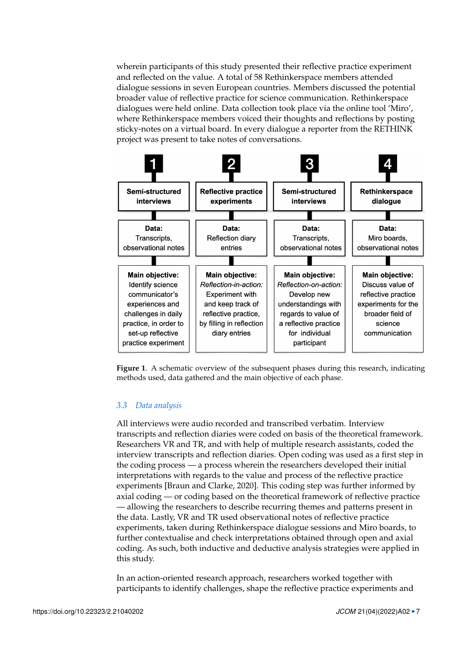wherein participants of this study presented their reflective practice experiment and reflected on the value. A total of 58 Rethinkerspace members attended dialogue sessions in seven European countries. Members discussed the potential broader value of reflective practice for science communication. Rethinkerspace dialogues were held online. Data collection took place via the online tool 'Miro', where Rethinkerspace members voiced their thoughts and reflections by posting sticky-notes on a virtual board. In every dialogue a reporter from the RETHINK project was present to take notes of conversations.



<span id="page-6-0"></span>**Figure 1**. A schematic overview of the subsequent phases during this research, indicating methods used, data gathered and the main objective of each phase.

## *3.3 Data analysis*

All interviews were audio recorded and transcribed verbatim. Interview transcripts and reflection diaries were coded on basis of the theoretical framework. Researchers VR and TR, and with help of multiple research assistants, coded the interview transcripts and reflection diaries. Open coding was used as a first step in the coding process — a process wherein the researchers developed their initial interpretations with regards to the value and process of the reflective practice experiments [Braun and Clarke, [2020\]](#page-16-8). This coding step was further informed by axial coding — or coding based on the theoretical framework of reflective practice — allowing the researchers to describe recurring themes and patterns present in the data. Lastly, VR and TR used observational notes of reflective practice experiments, taken during Rethinkerspace dialogue sessions and Miro boards, to further contextualise and check interpretations obtained through open and axial coding. As such, both inductive and deductive analysis strategies were applied in this study.

In an action-oriented research approach, researchers worked together with participants to identify challenges, shape the reflective practice experiments and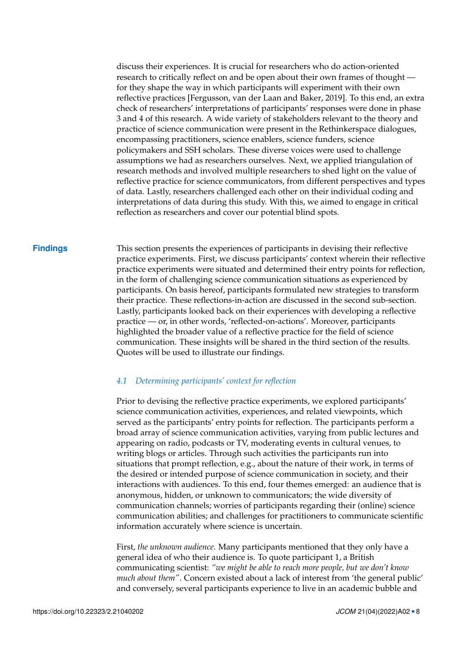discuss their experiences. It is crucial for researchers who do action-oriented research to critically reflect on and be open about their own frames of thought for they shape the way in which participants will experiment with their own reflective practices [Fergusson, van der Laan and Baker, [2019\]](#page-17-12). To this end, an extra check of researchers' interpretations of participants' responses were done in phase 3 and 4 of this research. A wide variety of stakeholders relevant to the theory and practice of science communication were present in the Rethinkerspace dialogues, encompassing practitioners, science enablers, science funders, science policymakers and SSH scholars. These diverse voices were used to challenge assumptions we had as researchers ourselves. Next, we applied triangulation of research methods and involved multiple researchers to shed light on the value of reflective practice for science communicators, from different perspectives and types of data. Lastly, researchers challenged each other on their individual coding and interpretations of data during this study. With this, we aimed to engage in critical reflection as researchers and cover our potential blind spots.

**Findings** This section presents the experiences of participants in devising their reflective practice experiments. First, we discuss participants' context wherein their reflective practice experiments were situated and determined their entry points for reflection, in the form of challenging science communication situations as experienced by participants. On basis hereof, participants formulated new strategies to transform their practice. These reflections-in-action are discussed in the second sub-section. Lastly, participants looked back on their experiences with developing a reflective practice — or, in other words, 'reflected-on-actions'. Moreover, participants highlighted the broader value of a reflective practice for the field of science communication. These insights will be shared in the third section of the results. Quotes will be used to illustrate our findings.

## *4.1 Determining participants' context for reflection*

Prior to devising the reflective practice experiments, we explored participants' science communication activities, experiences, and related viewpoints, which served as the participants' entry points for reflection. The participants perform a broad array of science communication activities, varying from public lectures and appearing on radio, podcasts or TV, moderating events in cultural venues, to writing blogs or articles. Through such activities the participants run into situations that prompt reflection, e.g., about the nature of their work, in terms of the desired or intended purpose of science communication in society, and their interactions with audiences. To this end, four themes emerged: an audience that is anonymous, hidden, or unknown to communicators; the wide diversity of communication channels; worries of participants regarding their (online) science communication abilities; and challenges for practitioners to communicate scientific information accurately where science is uncertain.

First, *the unknown audience*. Many participants mentioned that they only have a general idea of who their audience is. To quote participant 1, a British communicating scientist: *"we might be able to reach more people, but we don't know much about them"*. Concern existed about a lack of interest from 'the general public' and conversely, several participants experience to live in an academic bubble and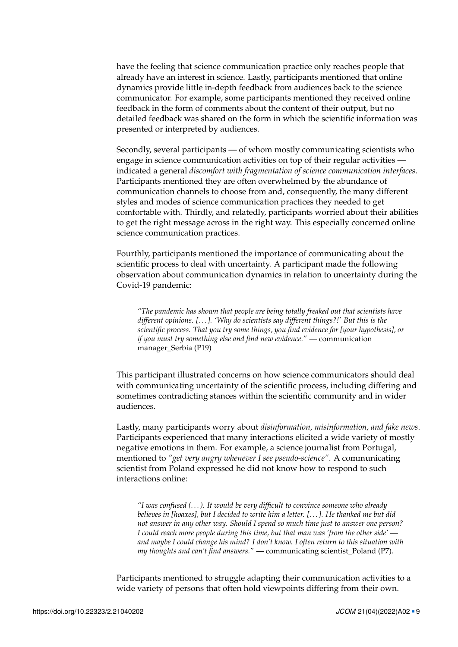have the feeling that science communication practice only reaches people that already have an interest in science. Lastly, participants mentioned that online dynamics provide little in-depth feedback from audiences back to the science communicator. For example, some participants mentioned they received online feedback in the form of comments about the content of their output, but no detailed feedback was shared on the form in which the scientific information was presented or interpreted by audiences.

Secondly, several participants — of whom mostly communicating scientists who engage in science communication activities on top of their regular activities indicated a general *discomfort with fragmentation of science communication interfaces*. Participants mentioned they are often overwhelmed by the abundance of communication channels to choose from and, consequently, the many different styles and modes of science communication practices they needed to get comfortable with. Thirdly, and relatedly, participants worried about their abilities to get the right message across in the right way. This especially concerned online science communication practices.

Fourthly, participants mentioned the importance of communicating about the scientific process to deal with uncertainty. A participant made the following observation about communication dynamics in relation to uncertainty during the Covid-19 pandemic:

*"The pandemic has shown that people are being totally freaked out that scientists have different opinions. [. . . ]. 'Why do scientists say different things?!' But this is the scientific process. That you try some things, you find evidence for [your hypothesis], or if you must try something else and find new evidence."* — communication manager\_Serbia (P19)

This participant illustrated concerns on how science communicators should deal with communicating uncertainty of the scientific process, including differing and sometimes contradicting stances within the scientific community and in wider audiences.

Lastly, many participants worry about *disinformation, misinformation, and fake news*. Participants experienced that many interactions elicited a wide variety of mostly negative emotions in them. For example, a science journalist from Portugal, mentioned to *"get very angry whenever I see pseudo-science"*. A communicating scientist from Poland expressed he did not know how to respond to such interactions online:

*"I was confused (. . . ). It would be very difficult to convince someone who already believes in [hoaxes], but I decided to write him a letter. [. . . ]. He thanked me but did not answer in any other way. Should I spend so much time just to answer one person? I could reach more people during this time, but that man was 'from the other side' and maybe I could change his mind? I don't know. I often return to this situation with my thoughts and can't find answers."* — communicating scientist\_Poland (P7).

Participants mentioned to struggle adapting their communication activities to a wide variety of persons that often hold viewpoints differing from their own.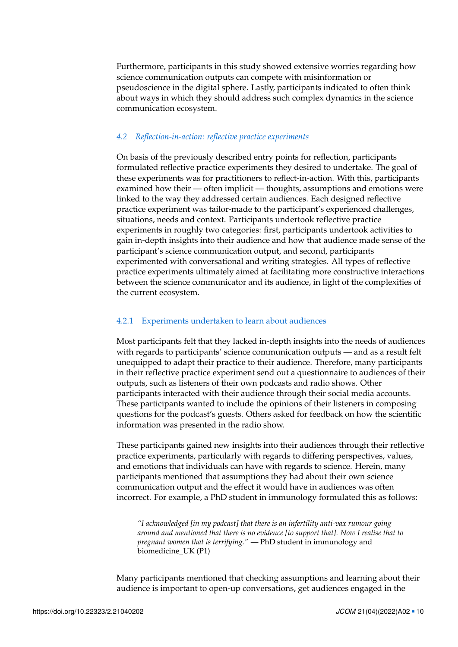Furthermore, participants in this study showed extensive worries regarding how science communication outputs can compete with misinformation or pseudoscience in the digital sphere. Lastly, participants indicated to often think about ways in which they should address such complex dynamics in the science communication ecosystem.

## *4.2 Reflection-in-action: reflective practice experiments*

On basis of the previously described entry points for reflection, participants formulated reflective practice experiments they desired to undertake. The goal of these experiments was for practitioners to reflect-in-action. With this, participants examined how their — often implicit — thoughts, assumptions and emotions were linked to the way they addressed certain audiences. Each designed reflective practice experiment was tailor-made to the participant's experienced challenges, situations, needs and context. Participants undertook reflective practice experiments in roughly two categories: first, participants undertook activities to gain in-depth insights into their audience and how that audience made sense of the participant's science communication output, and second, participants experimented with conversational and writing strategies. All types of reflective practice experiments ultimately aimed at facilitating more constructive interactions between the science communicator and its audience, in light of the complexities of the current ecosystem.

## 4.2.1 Experiments undertaken to learn about audiences

Most participants felt that they lacked in-depth insights into the needs of audiences with regards to participants' science communication outputs — and as a result felt unequipped to adapt their practice to their audience. Therefore, many participants in their reflective practice experiment send out a questionnaire to audiences of their outputs, such as listeners of their own podcasts and radio shows. Other participants interacted with their audience through their social media accounts. These participants wanted to include the opinions of their listeners in composing questions for the podcast's guests. Others asked for feedback on how the scientific information was presented in the radio show.

These participants gained new insights into their audiences through their reflective practice experiments, particularly with regards to differing perspectives, values, and emotions that individuals can have with regards to science. Herein, many participants mentioned that assumptions they had about their own science communication output and the effect it would have in audiences was often incorrect. For example, a PhD student in immunology formulated this as follows:

*"I acknowledged [in my podcast] that there is an infertility anti-vax rumour going around and mentioned that there is no evidence [to support that]. Now I realise that to pregnant women that is terrifying."* — PhD student in immunology and biomedicine\_UK (P1)

Many participants mentioned that checking assumptions and learning about their audience is important to open-up conversations, get audiences engaged in the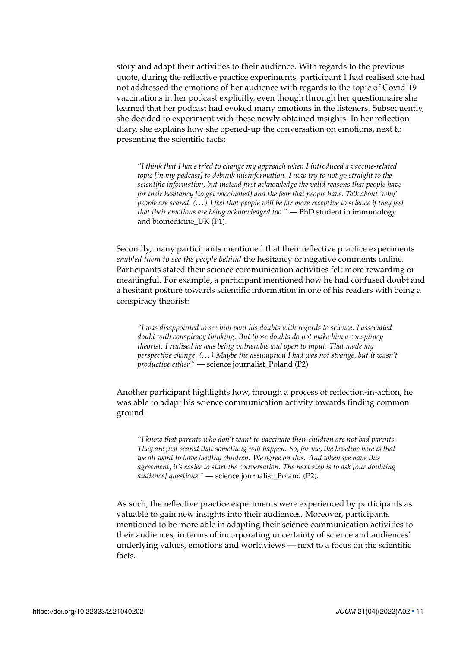story and adapt their activities to their audience. With regards to the previous quote, during the reflective practice experiments, participant 1 had realised she had not addressed the emotions of her audience with regards to the topic of Covid-19 vaccinations in her podcast explicitly, even though through her questionnaire she learned that her podcast had evoked many emotions in the listeners. Subsequently, she decided to experiment with these newly obtained insights. In her reflection diary, she explains how she opened-up the conversation on emotions, next to presenting the scientific facts:

*"I think that I have tried to change my approach when I introduced a vaccine-related topic [in my podcast] to debunk misinformation. I now try to not go straight to the scientific information, but instead first acknowledge the valid reasons that people have for their hesitancy [to get vaccinated] and the fear that people have. Talk about 'why' people are scared. (. . . ) I feel that people will be far more receptive to science if they feel that their emotions are being acknowledged too."* — PhD student in immunology and biomedicine\_UK (P1).

Secondly, many participants mentioned that their reflective practice experiments *enabled them to see the people behind* the hesitancy or negative comments online. Participants stated their science communication activities felt more rewarding or meaningful. For example, a participant mentioned how he had confused doubt and a hesitant posture towards scientific information in one of his readers with being a conspiracy theorist:

*"I was disappointed to see him vent his doubts with regards to science. I associated doubt with conspiracy thinking. But those doubts do not make him a conspiracy theorist. I realised he was being vulnerable and open to input. That made my perspective change. (. . . ) Maybe the assumption I had was not strange, but it wasn't productive either."* — science journalist\_Poland (P2)

Another participant highlights how, through a process of reflection-in-action, he was able to adapt his science communication activity towards finding common ground:

*"I know that parents who don't want to vaccinate their children are not bad parents. They are just scared that something will happen. So, for me, the baseline here is that we all want to have healthy children. We agree on this. And when we have this agreement, it's easier to start the conversation. The next step is to ask [our doubting audience] questions."* — science journalist\_Poland (P2).

As such, the reflective practice experiments were experienced by participants as valuable to gain new insights into their audiences. Moreover, participants mentioned to be more able in adapting their science communication activities to their audiences, in terms of incorporating uncertainty of science and audiences' underlying values, emotions and worldviews — next to a focus on the scientific facts.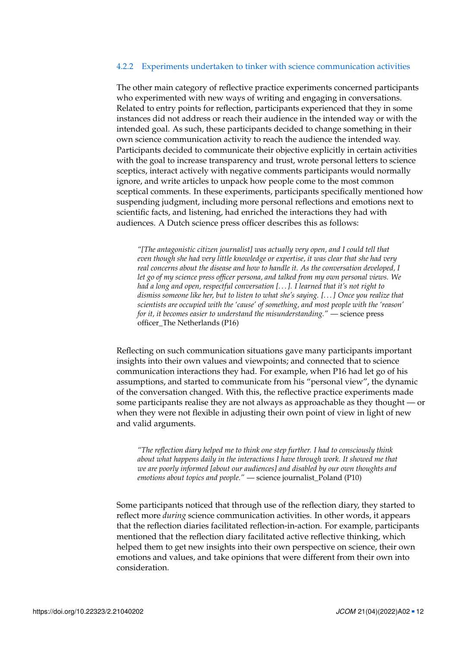## 4.2.2 Experiments undertaken to tinker with science communication activities

The other main category of reflective practice experiments concerned participants who experimented with new ways of writing and engaging in conversations. Related to entry points for reflection, participants experienced that they in some instances did not address or reach their audience in the intended way or with the intended goal. As such, these participants decided to change something in their own science communication activity to reach the audience the intended way. Participants decided to communicate their objective explicitly in certain activities with the goal to increase transparency and trust, wrote personal letters to science sceptics, interact actively with negative comments participants would normally ignore, and write articles to unpack how people come to the most common sceptical comments. In these experiments, participants specifically mentioned how suspending judgment, including more personal reflections and emotions next to scientific facts, and listening, had enriched the interactions they had with audiences. A Dutch science press officer describes this as follows:

*"[The antagonistic citizen journalist] was actually very open, and I could tell that even though she had very little knowledge or expertise, it was clear that she had very real concerns about the disease and how to handle it. As the conversation developed, I let go of my science press officer persona, and talked from my own personal views. We had a long and open, respectful conversation [. . . ]. I learned that it's not right to dismiss someone like her, but to listen to what she's saying. [. . . ] Once you realize that scientists are occupied with the 'cause' of something, and most people with the 'reason' for it, it becomes easier to understand the misunderstanding."* — science press officer\_The Netherlands (P16)

Reflecting on such communication situations gave many participants important insights into their own values and viewpoints; and connected that to science communication interactions they had. For example, when P16 had let go of his assumptions, and started to communicate from his "personal view", the dynamic of the conversation changed. With this, the reflective practice experiments made some participants realise they are not always as approachable as they thought — or when they were not flexible in adjusting their own point of view in light of new and valid arguments.

*"The reflection diary helped me to think one step further. I had to consciously think about what happens daily in the interactions I have through work. It showed me that we are poorly informed [about our audiences] and disabled by our own thoughts and emotions about topics and people."* — science journalist\_Poland (P10)

Some participants noticed that through use of the reflection diary, they started to reflect more *during* science communication activities. In other words, it appears that the reflection diaries facilitated reflection-in-action. For example, participants mentioned that the reflection diary facilitated active reflective thinking, which helped them to get new insights into their own perspective on science, their own emotions and values, and take opinions that were different from their own into consideration.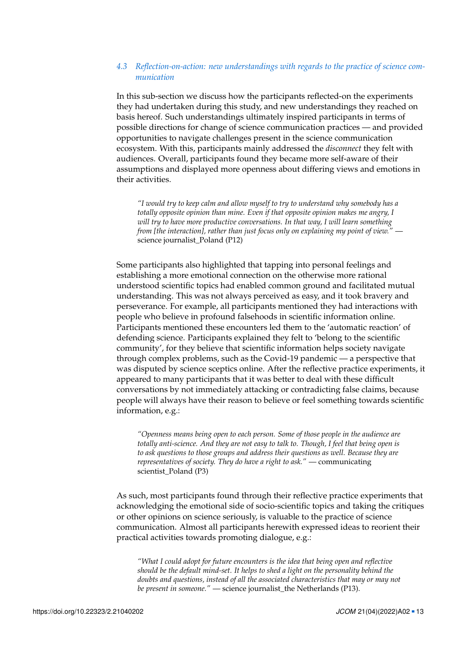# *4.3 Reflection-on-action: new understandings with regards to the practice of science communication*

In this sub-section we discuss how the participants reflected-on the experiments they had undertaken during this study, and new understandings they reached on basis hereof. Such understandings ultimately inspired participants in terms of possible directions for change of science communication practices — and provided opportunities to navigate challenges present in the science communication ecosystem. With this, participants mainly addressed the *disconnect* they felt with audiences. Overall, participants found they became more self-aware of their assumptions and displayed more openness about differing views and emotions in their activities.

*"I would try to keep calm and allow myself to try to understand why somebody has a totally opposite opinion than mine. Even if that opposite opinion makes me angry, I will try to have more productive conversations. In that way, I will learn something from [the interaction], rather than just focus only on explaining my point of view."* science journalist\_Poland (P12)

Some participants also highlighted that tapping into personal feelings and establishing a more emotional connection on the otherwise more rational understood scientific topics had enabled common ground and facilitated mutual understanding. This was not always perceived as easy, and it took bravery and perseverance. For example, all participants mentioned they had interactions with people who believe in profound falsehoods in scientific information online. Participants mentioned these encounters led them to the 'automatic reaction' of defending science. Participants explained they felt to 'belong to the scientific community', for they believe that scientific information helps society navigate through complex problems, such as the Covid-19 pandemic — a perspective that was disputed by science sceptics online. After the reflective practice experiments, it appeared to many participants that it was better to deal with these difficult conversations by not immediately attacking or contradicting false claims, because people will always have their reason to believe or feel something towards scientific information, e.g.:

*"Openness means being open to each person. Some of those people in the audience are totally anti-science. And they are not easy to talk to. Though, I feel that being open is to ask questions to those groups and address their questions as well. Because they are representatives of society. They do have a right to ask."* — communicating scientist\_Poland (P3)

As such, most participants found through their reflective practice experiments that acknowledging the emotional side of socio-scientific topics and taking the critiques or other opinions on science seriously, is valuable to the practice of science communication. Almost all participants herewith expressed ideas to reorient their practical activities towards promoting dialogue, e.g.:

*"What I could adopt for future encounters is the idea that being open and reflective should be the default mind-set. It helps to shed a light on the personality behind the doubts and questions, instead of all the associated characteristics that may or may not be present in someone."* — science journalist the Netherlands (P13).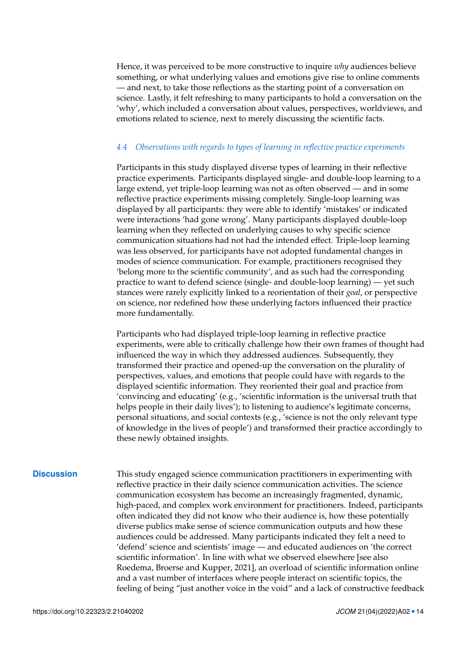Hence, it was perceived to be more constructive to inquire *why* audiences believe something, or what underlying values and emotions give rise to online comments — and next, to take those reflections as the starting point of a conversation on science. Lastly, it felt refreshing to many participants to hold a conversation on the 'why', which included a conversation about values, perspectives, worldviews, and emotions related to science, next to merely discussing the scientific facts.

# *4.4 Observations with regards to types of learning in reflective practice experiments*

Participants in this study displayed diverse types of learning in their reflective practice experiments. Participants displayed single- and double-loop learning to a large extend, yet triple-loop learning was not as often observed — and in some reflective practice experiments missing completely. Single-loop learning was displayed by all participants: they were able to identify 'mistakes' or indicated were interactions 'had gone wrong'. Many participants displayed double-loop learning when they reflected on underlying causes to why specific science communication situations had not had the intended effect. Triple-loop learning was less observed, for participants have not adopted fundamental changes in modes of science communication. For example, practitioners recognised they 'belong more to the scientific community', and as such had the corresponding practice to want to defend science (single- and double-loop learning) — yet such stances were rarely explicitly linked to a reorientation of their *goal*, or perspective on science, nor redefined how these underlying factors influenced their practice more fundamentally.

Participants who had displayed triple-loop learning in reflective practice experiments, were able to critically challenge how their own frames of thought had influenced the way in which they addressed audiences. Subsequently, they transformed their practice and opened-up the conversation on the plurality of perspectives, values, and emotions that people could have with regards to the displayed scientific information. They reoriented their goal and practice from 'convincing and educating' (e.g., 'scientific information is the universal truth that helps people in their daily lives'); to listening to audience's legitimate concerns, personal situations, and social contexts (e.g., 'science is not the only relevant type of knowledge in the lives of people') and transformed their practice accordingly to these newly obtained insights.

**Discussion** This study engaged science communication practitioners in experimenting with reflective practice in their daily science communication activities. The science communication ecosystem has become an increasingly fragmented, dynamic, high-paced, and complex work environment for practitioners. Indeed, participants often indicated they did not know who their audience is, how these potentially diverse publics make sense of science communication outputs and how these audiences could be addressed. Many participants indicated they felt a need to 'defend' science and scientists' image — and educated audiences on 'the correct scientific information'. In line with what we observed elsewhere [see also Roedema, Broerse and Kupper, [2021\]](#page-18-2), an overload of scientific information online and a vast number of interfaces where people interact on scientific topics, the feeling of being "just another voice in the void" and a lack of constructive feedback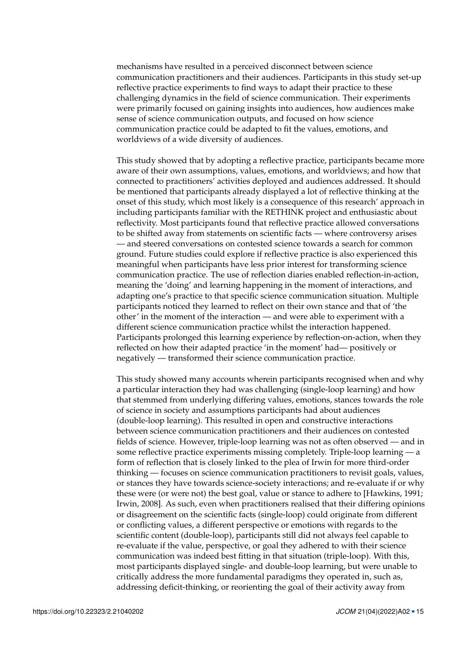mechanisms have resulted in a perceived disconnect between science communication practitioners and their audiences. Participants in this study set-up reflective practice experiments to find ways to adapt their practice to these challenging dynamics in the field of science communication. Their experiments were primarily focused on gaining insights into audiences, how audiences make sense of science communication outputs, and focused on how science communication practice could be adapted to fit the values, emotions, and worldviews of a wide diversity of audiences.

This study showed that by adopting a reflective practice, participants became more aware of their own assumptions, values, emotions, and worldviews; and how that connected to practitioners' activities deployed and audiences addressed. It should be mentioned that participants already displayed a lot of reflective thinking at the onset of this study, which most likely is a consequence of this research' approach in including participants familiar with the RETHINK project and enthusiastic about reflectivity. Most participants found that reflective practice allowed conversations to be shifted away from statements on scientific facts — where controversy arises — and steered conversations on contested science towards a search for common ground. Future studies could explore if reflective practice is also experienced this meaningful when participants have less prior interest for transforming science communication practice. The use of reflection diaries enabled reflection-in-action, meaning the 'doing' and learning happening in the moment of interactions, and adapting one's practice to that specific science communication situation. Multiple participants noticed they learned to reflect on their own stance and that of 'the other' in the moment of the interaction — and were able to experiment with a different science communication practice whilst the interaction happened. Participants prolonged this learning experience by reflection-on-action, when they reflected on how their adapted practice 'in the moment' had— positively or negatively — transformed their science communication practice.

This study showed many accounts wherein participants recognised when and why a particular interaction they had was challenging (single-loop learning) and how that stemmed from underlying differing values, emotions, stances towards the role of science in society and assumptions participants had about audiences (double-loop learning). This resulted in open and constructive interactions between science communication practitioners and their audiences on contested fields of science. However, triple-loop learning was not as often observed — and in some reflective practice experiments missing completely. Triple-loop learning — a form of reflection that is closely linked to the plea of Irwin for more third-order thinking — focuses on science communication practitioners to revisit goals, values, or stances they have towards science-society interactions; and re-evaluate if or why these were (or were not) the best goal, value or stance to adhere to [Hawkins, [1991;](#page-17-13) Irwin, [2008\]](#page-17-14). As such, even when practitioners realised that their differing opinions or disagreement on the scientific facts (single-loop) could originate from different or conflicting values, a different perspective or emotions with regards to the scientific content (double-loop), participants still did not always feel capable to re-evaluate if the value, perspective, or goal they adhered to with their science communication was indeed best fitting in that situation (triple-loop). With this, most participants displayed single- and double-loop learning, but were unable to critically address the more fundamental paradigms they operated in, such as, addressing deficit-thinking, or reorienting the goal of their activity away from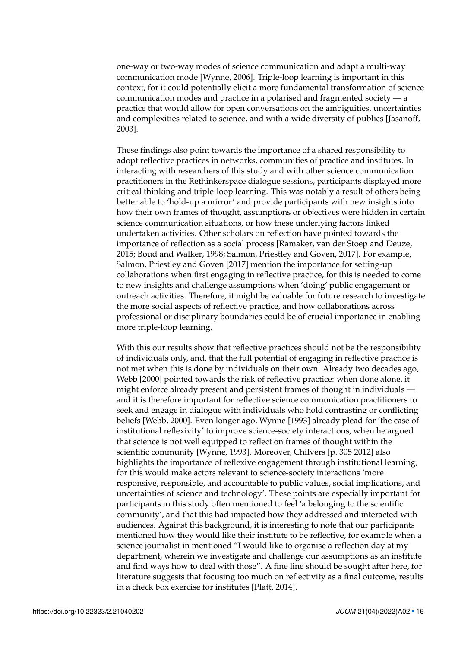one-way or two-way modes of science communication and adapt a multi-way communication mode [Wynne, [2006\]](#page-18-10). Triple-loop learning is important in this context, for it could potentially elicit a more fundamental transformation of science communication modes and practice in a polarised and fragmented society — a practice that would allow for open conversations on the ambiguities, uncertainties and complexities related to science, and with a wide diversity of publics [Jasanoff, [2003\]](#page-17-15).

These findings also point towards the importance of a shared responsibility to adopt reflective practices in networks, communities of practice and institutes. In interacting with researchers of this study and with other science communication practitioners in the Rethinkerspace dialogue sessions, participants displayed more critical thinking and triple-loop learning. This was notably a result of others being better able to 'hold-up a mirror' and provide participants with new insights into how their own frames of thought, assumptions or objectives were hidden in certain science communication situations, or how these underlying factors linked undertaken activities. Other scholars on reflection have pointed towards the importance of reflection as a social process [Ramaker, van der Stoep and Deuze, [2015;](#page-18-3) Boud and Walker, [1998;](#page-16-4) Salmon, Priestley and Goven, [2017\]](#page-18-6). For example, Salmon, Priestley and Goven [\[2017\]](#page-18-6) mention the importance for setting-up collaborations when first engaging in reflective practice, for this is needed to come to new insights and challenge assumptions when 'doing' public engagement or outreach activities. Therefore, it might be valuable for future research to investigate the more social aspects of reflective practice, and how collaborations across professional or disciplinary boundaries could be of crucial importance in enabling more triple-loop learning.

With this our results show that reflective practices should not be the responsibility of individuals only, and, that the full potential of engaging in reflective practice is not met when this is done by individuals on their own. Already two decades ago, Webb [\[2000\]](#page-18-11) pointed towards the risk of reflective practice: when done alone, it might enforce already present and persistent frames of thought in individuals and it is therefore important for reflective science communication practitioners to seek and engage in dialogue with individuals who hold contrasting or conflicting beliefs [Webb, [2000\]](#page-18-11). Even longer ago, Wynne [\[1993\]](#page-18-8) already plead for 'the case of institutional reflexivity' to improve science-society interactions, when he argued that science is not well equipped to reflect on frames of thought within the scientific community [Wynne, [1993\]](#page-18-8). Moreover, Chilvers [p. 305 [2012\]](#page-17-11) also highlights the importance of reflexive engagement through institutional learning, for this would make actors relevant to science-society interactions 'more responsive, responsible, and accountable to public values, social implications, and uncertainties of science and technology'. These points are especially important for participants in this study often mentioned to feel 'a belonging to the scientific community', and that this had impacted how they addressed and interacted with audiences. Against this background, it is interesting to note that our participants mentioned how they would like their institute to be reflective, for example when a science journalist in mentioned "I would like to organise a reflection day at my department, wherein we investigate and challenge our assumptions as an institute and find ways how to deal with those". A fine line should be sought after here, for literature suggests that focusing too much on reflectivity as a final outcome, results in a check box exercise for institutes [Platt, [2014\]](#page-18-12).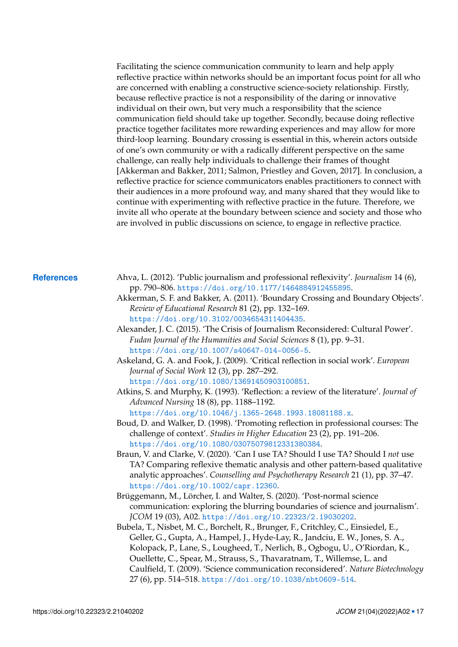Facilitating the science communication community to learn and help apply reflective practice within networks should be an important focus point for all who are concerned with enabling a constructive science-society relationship. Firstly, because reflective practice is not a responsibility of the daring or innovative individual on their own, but very much a responsibility that the science communication field should take up together. Secondly, because doing reflective practice together facilitates more rewarding experiences and may allow for more third-loop learning. Boundary crossing is essential in this, wherein actors outside of one's own community or with a radically different perspective on the same challenge, can really help individuals to challenge their frames of thought [Akkerman and Bakker, [2011;](#page-16-7) Salmon, Priestley and Goven, [2017\]](#page-18-6). In conclusion, a reflective practice for science communicators enables practitioners to connect with their audiences in a more profound way, and many shared that they would like to continue with experimenting with reflective practice in the future. Therefore, we invite all who operate at the boundary between science and society and those who are involved in public discussions on science, to engage in reflective practice.

- <span id="page-16-8"></span><span id="page-16-7"></span><span id="page-16-6"></span><span id="page-16-5"></span><span id="page-16-4"></span><span id="page-16-3"></span><span id="page-16-2"></span><span id="page-16-1"></span><span id="page-16-0"></span>**References** Ahva, L. (2012). 'Public journalism and professional reflexivity'. *Journalism* 14 (6), pp. 790–806. <https://doi.org/10.1177/1464884912455895>.
	- Akkerman, S. F. and Bakker, A. (2011). 'Boundary Crossing and Boundary Objects'. *Review of Educational Research* 81 (2), pp. 132–169. <https://doi.org/10.3102/0034654311404435>.
	- Alexander, J. C. (2015). 'The Crisis of Journalism Reconsidered: Cultural Power'. *Fudan Journal of the Humanities and Social Sciences* 8 (1), pp. 9–31. <https://doi.org/10.1007/s40647-014-0056-5>.
	- Askeland, G. A. and Fook, J. (2009). 'Critical reflection in social work'. *European Journal of Social Work* 12 (3), pp. 287–292. <https://doi.org/10.1080/13691450903100851>.
	- Atkins, S. and Murphy, K. (1993). 'Reflection: a review of the literature'. *Journal of Advanced Nursing* 18 (8), pp. 1188–1192. <https://doi.org/10.1046/j.1365-2648.1993.18081188.x>.
	- Boud, D. and Walker, D. (1998). 'Promoting reflection in professional courses: The challenge of context'. *Studies in Higher Education* 23 (2), pp. 191–206. <https://doi.org/10.1080/03075079812331380384>.
	- Braun, V. and Clarke, V. (2020). 'Can I use TA? Should I use TA? Should I *not* use TA? Comparing reflexive thematic analysis and other pattern-based qualitative analytic approaches'. *Counselling and Psychotherapy Research* 21 (1), pp. 37–47. <https://doi.org/10.1002/capr.12360>.
	- Brüggemann, M., Lörcher, I. and Walter, S. (2020). 'Post-normal science communication: exploring the blurring boundaries of science and journalism'. *JCOM* 19 (03), A02. <https://doi.org/10.22323/2.19030202>.
	- Bubela, T., Nisbet, M. C., Borchelt, R., Brunger, F., Critchley, C., Einsiedel, E., Geller, G., Gupta, A., Hampel, J., Hyde-Lay, R., Jandciu, E. W., Jones, S. A., Kolopack, P., Lane, S., Lougheed, T., Nerlich, B., Ogbogu, U., O'Riordan, K., Ouellette, C., Spear, M., Strauss, S., Thavaratnam, T., Willemse, L. and Caulfield, T. (2009). 'Science communication reconsidered'. *Nature Biotechnology* 27 (6), pp. 514–518. <https://doi.org/10.1038/nbt0609-514>.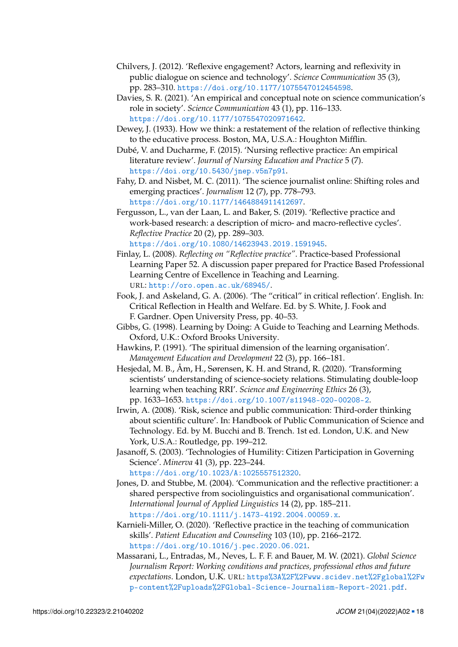- <span id="page-17-11"></span>Chilvers, J. (2012). 'Reflexive engagement? Actors, learning and reflexivity in public dialogue on science and technology'. *Science Communication* 35 (3), pp. 283–310. <https://doi.org/10.1177/1075547012454598>.
- <span id="page-17-1"></span>Davies, S. R. (2021). 'An empirical and conceptual note on science communication's role in society'. *Science Communication* 43 (1), pp. 116–133. <https://doi.org/10.1177/1075547020971642>.
- <span id="page-17-10"></span>Dewey, J. (1933). How we think: a restatement of the relation of reflective thinking to the educative process. Boston, MA, U.S.A.: Houghton Mifflin.
- <span id="page-17-3"></span>Dubé, V. and Ducharme, F. (2015). 'Nursing reflective practice: An empirical literature review'. *Journal of Nursing Education and Practice* 5 (7). <https://doi.org/10.5430/jnep.v5n7p91>.
- <span id="page-17-2"></span>Fahy, D. and Nisbet, M. C. (2011). 'The science journalist online: Shifting roles and emerging practices'. *Journalism* 12 (7), pp. 778–793. <https://doi.org/10.1177/1464884911412697>.
- <span id="page-17-12"></span>Fergusson, L., van der Laan, L. and Baker, S. (2019). 'Reflective practice and work-based research: a description of micro- and macro-reflective cycles'. *Reflective Practice* 20 (2), pp. 289–303. <https://doi.org/10.1080/14623943.2019.1591945>.
- <span id="page-17-8"></span>Finlay, L. (2008). *Reflecting on "Reflective practice"*. Practice-based Professional Learning Paper 52. A discussion paper prepared for Practice Based Professional Learning Centre of Excellence in Teaching and Learning. URL: <http://oro.open.ac.uk/68945/>.
- <span id="page-17-9"></span>Fook, J. and Askeland, G. A. (2006). 'The "critical" in critical reflection'. English. In: Critical Reflection in Health and Welfare. Ed. by S. White, J. Fook and F. Gardner. Open University Press, pp. 40–53.
- <span id="page-17-7"></span>Gibbs, G. (1998). Learning by Doing: A Guide to Teaching and Learning Methods. Oxford, U.K.: Oxford Brooks University.
- <span id="page-17-13"></span>Hawkins, P. (1991). 'The spiritual dimension of the learning organisation'. *Management Education and Development* 22 (3), pp. 166–181.
- <span id="page-17-5"></span>Hesjedal, M. B., Åm, H., Sørensen, K. H. and Strand, R. (2020). 'Transforming scientists' understanding of science-society relations. Stimulating double-loop learning when teaching RRI'. *Science and Engineering Ethics* 26 (3), pp. 1633–1653. <https://doi.org/10.1007/s11948-020-00208-2>.
- <span id="page-17-14"></span>Irwin, A. (2008). 'Risk, science and public communication: Third-order thinking about scientific culture'. In: Handbook of Public Communication of Science and Technology. Ed. by M. Bucchi and B. Trench. 1st ed. London, U.K. and New York, U.S.A.: Routledge, pp. 199–212.
- <span id="page-17-15"></span>Jasanoff, S. (2003). 'Technologies of Humility: Citizen Participation in Governing Science'. *Minerva* 41 (3), pp. 223–244. <https://doi.org/10.1023/A:1025557512320>.
- <span id="page-17-4"></span>Jones, D. and Stubbe, M. (2004). 'Communication and the reflective practitioner: a shared perspective from sociolinguistics and organisational communication'. *International Journal of Applied Linguistics* 14 (2), pp. 185–211. <https://doi.org/10.1111/j.1473-4192.2004.00059.x>.
- <span id="page-17-6"></span>Karnieli-Miller, O. (2020). 'Reflective practice in the teaching of communication skills'. *Patient Education and Counseling* 103 (10), pp. 2166–2172. <https://doi.org/10.1016/j.pec.2020.06.021>.
- <span id="page-17-0"></span>Massarani, L., Entradas, M., Neves, L. F. F. and Bauer, M. W. (2021). *Global Science Journalism Report: Working conditions and practices, professional ethos and future expectations*. London, U.K. URL: [https%3A%2F%2Fwww.scidev.net%2Fglobal%2Fw](https%3A%2F%2Fwww.scidev.net%2Fglobal%2Fwp-content%2Fuploads%2FGlobal-Science-Journalism-Report-2021.pdf) [p-content%2Fuploads%2FGlobal-Science-Journalism-Report-2021.pdf](https%3A%2F%2Fwww.scidev.net%2Fglobal%2Fwp-content%2Fuploads%2FGlobal-Science-Journalism-Report-2021.pdf).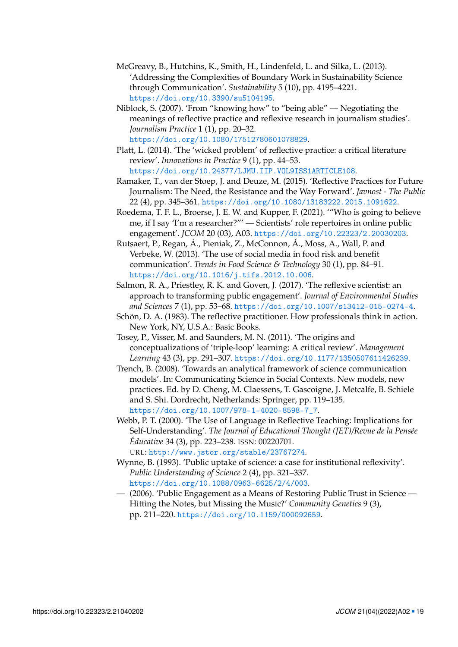- <span id="page-18-9"></span>McGreavy, B., Hutchins, K., Smith, H., Lindenfeld, L. and Silka, L. (2013). 'Addressing the Complexities of Boundary Work in Sustainability Science through Communication'. *Sustainability* 5 (10), pp. 4195–4221. <https://doi.org/10.3390/su5104195>.
- <span id="page-18-5"></span>Niblock, S. (2007). 'From "knowing how" to "being able" — Negotiating the meanings of reflective practice and reflexive research in journalism studies'. *Journalism Practice* 1 (1), pp. 20–32. <https://doi.org/10.1080/17512780601078829>.
- <span id="page-18-12"></span>Platt, L. (2014). 'The 'wicked problem' of reflective practice: a critical literature review'. *Innovations in Practice* 9 (1), pp. 44–53. <https://doi.org/10.24377/LJMU.IIP.VOL9ISS1ARTICLE108>.
- <span id="page-18-3"></span>Ramaker, T., van der Stoep, J. and Deuze, M. (2015). 'Reflective Practices for Future Journalism: The Need, the Resistance and the Way Forward'. *Javnost - The Public* 22 (4), pp. 345–361. <https://doi.org/10.1080/13183222.2015.1091622>.
- <span id="page-18-2"></span>Roedema, T. F. L., Broerse, J. E. W. and Kupper, F. (2021). '"Who is going to believe me, if I say 'I'm a researcher?"' — Scientists' role repertoires in online public engagement'. *JCOM* 20 (03), A03. <https://doi.org/10.22323/2.20030203>.
- <span id="page-18-0"></span>Rutsaert, P., Regan, Á., Pieniak, Z., McConnon, Á., Moss, A., Wall, P. and Verbeke, W. (2013). 'The use of social media in food risk and benefit communication'. *Trends in Food Science & Technology* 30 (1), pp. 84–91. <https://doi.org/10.1016/j.tifs.2012.10.006>.
- <span id="page-18-6"></span>Salmon, R. A., Priestley, R. K. and Goven, J. (2017). 'The reflexive scientist: an approach to transforming public engagement'. *Journal of Environmental Studies and Sciences* 7 (1), pp. 53–68. <https://doi.org/10.1007/s13412-015-0274-4>.
- <span id="page-18-4"></span>Schön, D. A. (1983). The reflective practitioner. How professionals think in action. New York, NY, U.S.A.: Basic Books.
- <span id="page-18-7"></span>Tosey, P., Visser, M. and Saunders, M. N. (2011). 'The origins and conceptualizations of 'triple-loop' learning: A critical review'. *Management Learning* 43 (3), pp. 291–307. <https://doi.org/10.1177/1350507611426239>.
- <span id="page-18-1"></span>Trench, B. (2008). 'Towards an analytical framework of science communication models'. In: Communicating Science in Social Contexts. New models, new practices. Ed. by D. Cheng, M. Claessens, T. Gascoigne, J. Metcalfe, B. Schiele and S. Shi. Dordrecht, Netherlands: Springer, pp. 119–135. [https://doi.org/10.1007/978-1-4020-8598-7\\_7](https://doi.org/10.1007/978-1-4020-8598-7_7).
- <span id="page-18-11"></span>Webb, P. T. (2000). 'The Use of Language in Reflective Teaching: Implications for Self-Understanding'. *The Journal of Educational Thought (JET)/Revue de la Pensée Éducative* 34 (3), pp. 223–238. ISSN: 00220701. URL: <http://www.jstor.org/stable/23767274>.
- <span id="page-18-8"></span>Wynne, B. (1993). 'Public uptake of science: a case for institutional reflexivity'. *Public Understanding of Science* 2 (4), pp. 321–337. <https://doi.org/10.1088/0963-6625/2/4/003>.
- <span id="page-18-10"></span>— (2006). 'Public Engagement as a Means of Restoring Public Trust in Science — Hitting the Notes, but Missing the Music?' *Community Genetics* 9 (3), pp. 211–220. <https://doi.org/10.1159/000092659>.